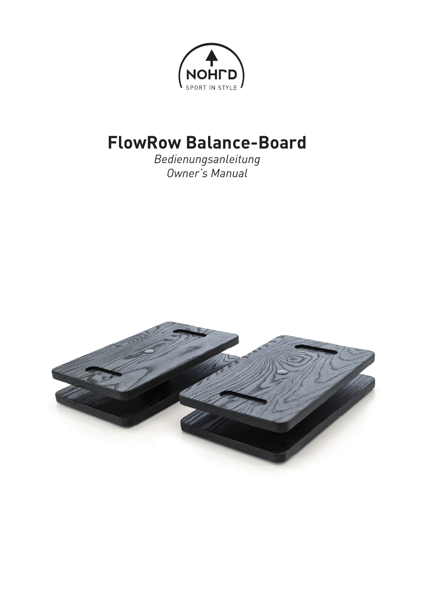

# **FlowRow Balance-Board**

*Bedienungsanleitung Owner's Manual*

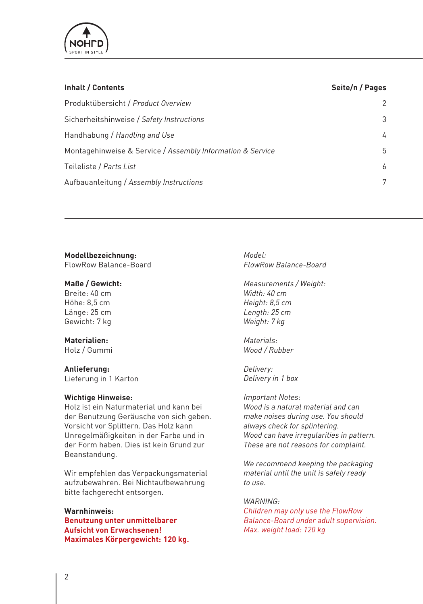

| Inhalt / Contents                                          | Seite/n / Pages |
|------------------------------------------------------------|-----------------|
| Produktübersicht / Product Overview                        | 2               |
| Sicherheitshinweise / Safety Instructions                  | 3               |
| Handhabung / Handling and Use                              | 4               |
| Montagehinweise & Service / Assembly Information & Service | 5               |
| Teileliste / Parts List                                    | 6               |
| Aufbauanleitung / Assembly Instructions                    | 7               |
|                                                            |                 |

# **Modellbezeichnung:**

FlowRow Balance-Board

#### **Maße / Gewicht:**

Breite: 40 cm Höhe: 8,5 cm Länge: 25 cm Gewicht: 7 kg

## **Materialien:**

Holz / Gummi

# **Anlieferung:**

Lieferung in 1 Karton

#### **Wichtige Hinweise:**

Holz ist ein Naturmaterial und kann bei der Benutzung Geräusche von sich geben. Vorsicht vor Splittern. Das Holz kann Unregelmäßigkeiten in der Farbe und in der Form haben. Dies ist kein Grund zur Beanstandung.

Wir empfehlen das Verpackungsmaterial aufzubewahren. Bei Nichtaufbewahrung bitte fachgerecht entsorgen.

#### **Warnhinweis:**

**Benutzung unter unmittelbarer Aufsicht von Erwachsenen! Maximales Körpergewicht: 120 kg.**

*Model: FlowRow Balance-Board*

*Measurements / Weight: Width: 40 cm Height: 8,5 cm Length: 25 cm Weight: 7 kg*

*Materials: Wood / Rubber*

*Delivery: Delivery in 1 box*

*Important Notes: Wood is a natural material and can make noises during use. You should always check for splintering. Wood can have irregularities in pattern. These are not reasons for complaint.* 

*We recommend keeping the packaging material until the unit is safely ready to use.*

*WARNING:*

*Children may only use the FlowRow Balance-Board under adult supervision. Max. weight load: 120 kg*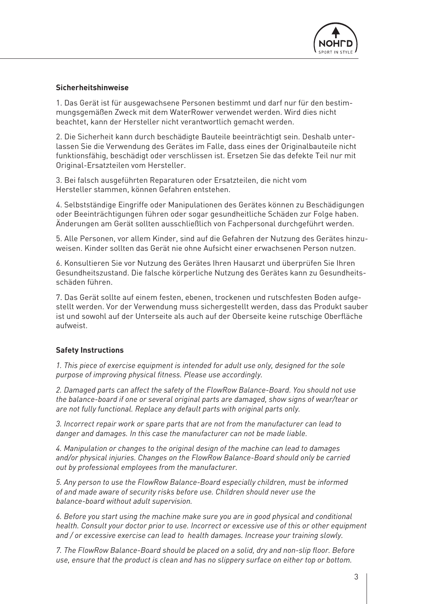

## **Sicherheitshinweise**

1. Das Gerät ist für ausgewachsene Personen bestimmt und darf nur für den bestimmungsgemäßen Zweck mit dem WaterRower verwendet werden. Wird dies nicht beachtet, kann der Hersteller nicht verantwortlich gemacht werden.

2. Die Sicherheit kann durch beschädigte Bauteile beeinträchtigt sein. Deshalb unterlassen Sie die Verwendung des Gerätes im Falle, dass eines der Originalbauteile nicht funktionsfähig, beschädigt oder verschlissen ist. Ersetzen Sie das defekte Teil nur mit Original-Ersatzteilen vom Hersteller.

3. Bei falsch ausgeführten Reparaturen oder Ersatzteilen, die nicht vom Hersteller stammen, können Gefahren entstehen.

4. Selbstständige Eingriffe oder Manipulationen des Gerätes können zu Beschädigungen oder Beeinträchtigungen führen oder sogar gesundheitliche Schäden zur Folge haben. Änderungen am Gerät sollten ausschließlich von Fachpersonal durchgeführt werden.

5. Alle Personen, vor allem Kinder, sind auf die Gefahren der Nutzung des Gerätes hinzuweisen. Kinder sollten das Gerät nie ohne Aufsicht einer erwachsenen Person nutzen.

6. Konsultieren Sie vor Nutzung des Gerätes Ihren Hausarzt und überprüfen Sie Ihren Gesundheitszustand. Die falsche körperliche Nutzung des Gerätes kann zu Gesundheitsschäden führen.

7. Das Gerät sollte auf einem festen, ebenen, trockenen und rutschfesten Boden aufgestellt werden. Vor der Verwendung muss sichergestellt werden, dass das Produkt sauber ist und sowohl auf der Unterseite als auch auf der Oberseite keine rutschige Oberfläche aufweist.

#### **Safety Instructions**

*1. This piece of exercise equipment is intended for adult use only, designed for the sole purpose of improving physical fitness. Please use accordingly.* 

*2. Damaged parts can affect the safety of the FlowRow Balance-Board. You should not use the balance-board if one or several original parts are damaged, show signs of wear/tear or are not fully functional. Replace any default parts with original parts only.*

*3. Incorrect repair work or spare parts that are not from the manufacturer can lead to danger and damages. In this case the manufacturer can not be made liable.*

*4. Manipulation or changes to the original design of the machine can lead to damages and/or physical injuries. Changes on the FlowRow Balance-Board should only be carried out by professional employees from the manufacturer.*

*5. Any person to use the FlowRow Balance-Board especially children, must be informed of and made aware of security risks before use. Children should never use the balance-board without adult supervision.*

*6. Before you start using the machine make sure you are in good physical and conditional health. Consult your doctor prior to use. Incorrect or excessive use of this or other equipment and / or excessive exercise can lead to health damages. Increase your training slowly.* 

*7. The FlowRow Balance-Board should be placed on a solid, dry and non-slip floor. Before use, ensure that the product is clean and has no slippery surface on either top or bottom.*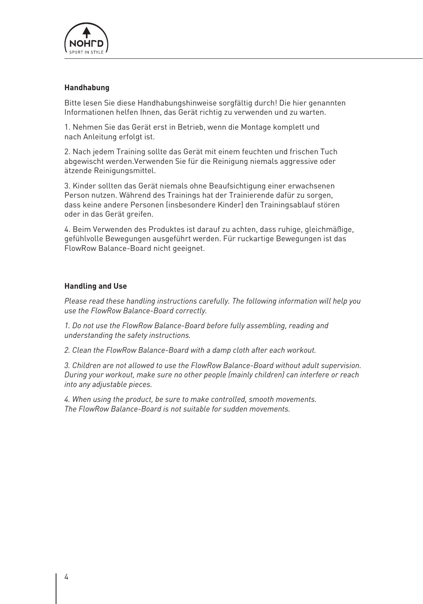

## **Handhabung**

Bitte lesen Sie diese Handhabungshinweise sorgfältig durch! Die hier genannten Informationen helfen Ihnen, das Gerät richtig zu verwenden und zu warten.

1. Nehmen Sie das Gerät erst in Betrieb, wenn die Montage komplett und nach Anleitung erfolgt ist.

2. Nach jedem Training sollte das Gerät mit einem feuchten und frischen Tuch abgewischt werden.Verwenden Sie für die Reinigung niemals aggressive oder ätzende Reinigungsmittel.

3. Kinder sollten das Gerät niemals ohne Beaufsichtigung einer erwachsenen Person nutzen. Während des Trainings hat der Trainierende dafür zu sorgen, dass keine andere Personen (insbesondere Kinder) den Trainingsablauf stören oder in das Gerät greifen.

4. Beim Verwenden des Produktes ist darauf zu achten, dass ruhige, gleichmäßige, gefühlvolle Bewegungen ausgeführt werden. Für ruckartige Bewegungen ist das FlowRow Balance-Board nicht geeignet.

#### **Handling and Use**

*Please read these handling instructions carefully. The following information will help you use the FlowRow Balance-Board correctly.*

*1. Do not use the FlowRow Balance-Board before fully assembling, reading and understanding the safety instructions.*

*2. Clean the FlowRow Balance-Board with a damp cloth after each workout.*

*3. Children are not allowed to use the FlowRow Balance-Board without adult supervision. During your workout, make sure no other people (mainly children) can interfere or reach into any adjustable pieces.*

*4. When using the product, be sure to make controlled, smooth movements. The FlowRow Balance-Board is not suitable for sudden movements.*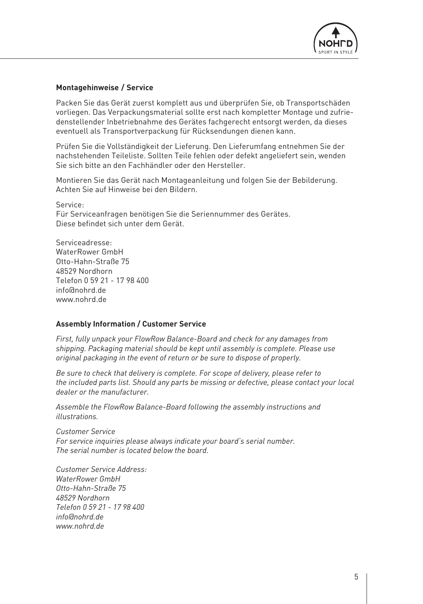

## **Montagehinweise / Service**

Packen Sie das Gerät zuerst komplett aus und überprüfen Sie, ob Transportschäden vorliegen. Das Verpackungsmaterial sollte erst nach kompletter Montage und zufriedenstellender Inbetriebnahme des Gerätes fachgerecht entsorgt werden, da dieses eventuell als Transportverpackung für Rücksendungen dienen kann.

Prüfen Sie die Vollständigkeit der Lieferung. Den Lieferumfang entnehmen Sie der nachstehenden Teileliste. Sollten Teile fehlen oder defekt angeliefert sein, wenden Sie sich bitte an den Fachhändler oder den Hersteller.

Montieren Sie das Gerät nach Montageanleitung und folgen Sie der Bebilderung. Achten Sie auf Hinweise bei den Bildern.

Service: Für Serviceanfragen benötigen Sie die Seriennummer des Gerätes. Diese befindet sich unter dem Gerät.

Serviceadresse: WaterRower GmbH Otto-Hahn-Straße 75 48529 Nordhorn Telefon 0 59 21 - 17 98 400 info@nohrd.de www.nohrd.de

#### **Assembly Information / Customer Service**

*First, fully unpack your FlowRow Balance-Board and check for any damages from shipping. Packaging material should be kept until assembly is complete. Please use original packaging in the event of return or be sure to dispose of properly.*

*Be sure to check that delivery is complete. For scope of delivery, please refer to the included parts list. Should any parts be missing or defective, please contact your local dealer or the manufacturer.*

*Assemble the FlowRow Balance-Board following the assembly instructions and illustrations.* 

*Customer Service For service inquiries please always indicate your board's serial number. The serial number is located below the board.*

*Customer Service Address: WaterRower GmbH Otto-Hahn-Straße 75 48529 Nordhorn Telefon 0 59 21 - 17 98 400 info@nohrd.de www.nohrd.de*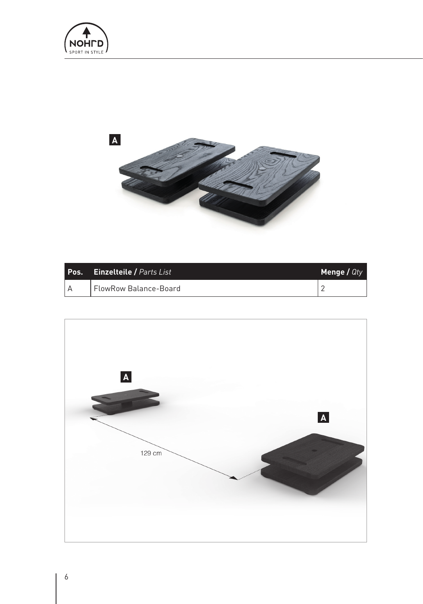



| Pos. | <b>Einzelteile / Parts List</b> | Menge / $QtV$ |
|------|---------------------------------|---------------|
|      | FlowRow Balance-Board           |               |

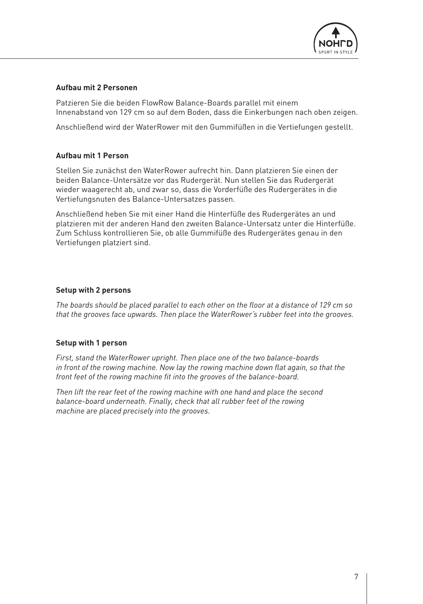

## **Aufbau mit 2 Personen**

Patzieren Sie die beiden FlowRow Balance-Boards parallel mit einem Innenabstand von 129 cm so auf dem Boden, dass die Einkerbungen nach oben zeigen.

Anschließend wird der WaterRower mit den Gummifüßen in die Vertiefungen gestellt.

# **Aufbau mit 1 Person**

Stellen Sie zunächst den WaterRower aufrecht hin. Dann platzieren Sie einen der beiden Balance-Untersätze vor das Rudergerät. Nun stellen Sie das Rudergerät wieder waagerecht ab, und zwar so, dass die Vorderfüße des Rudergerätes in die Vertiefungsnuten des Balance-Untersatzes passen.

Anschließend heben Sie mit einer Hand die Hinterfüße des Rudergerätes an und platzieren mit der anderen Hand den zweiten Balance-Untersatz unter die Hinterfüße. Zum Schluss kontrollieren Sie, ob alle Gummifüße des Rudergerätes genau in den Vertiefungen platziert sind.

## **Setup with 2 persons**

*The boards should be placed parallel to each other on the floor at a distance of 129 cm so that the grooves face upwards. Then place the WaterRower's rubber feet into the grooves.* 

# **Setup with 1 person**

*First, stand the WaterRower upright. Then place one of the two balance-boards in front of the rowing machine. Now lay the rowing machine down flat again, so that the front feet of the rowing machine fit into the grooves of the balance-board.*

*Then lift the rear feet of the rowing machine with one hand and place the second balance-board underneath. Finally, check that all rubber feet of the rowing machine are placed precisely into the grooves.*